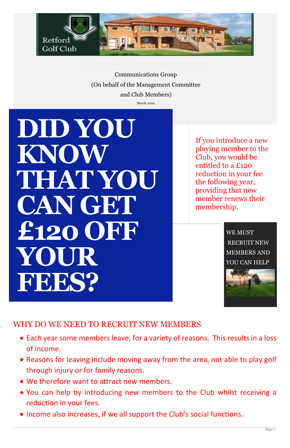

Communications Group (On behalf of the Management Committee

and Club Members)

March 2020

If you introduce a new playing member to the Club, you would be entitled to a £120 reduction in your fee the following year, providing that new member renews their membership.

> WE MUST RECRUIT NEW MEMBERS AND YOU CAN HELP



WHY DO WE NEED TO RECRUIT NEW MEMBERS

# **This is another** *secondary* **story headline** *Written by Mirjam Nilsson* **DID YOU KNOW THAT YOU CAN GET £120 OFF YOUR FEES?**

- Each year some members leave, for a variety of reasons. This results in a loss of income.
- Reasons for leaving include moving away from the area, not able to play golf through injury or for family reasons.
- We therefore want to attract new members.
- You can help by introducing new members to the Club whilst receiving a reduction in your fees.
- Income also increases, if we all support the Club's social functions.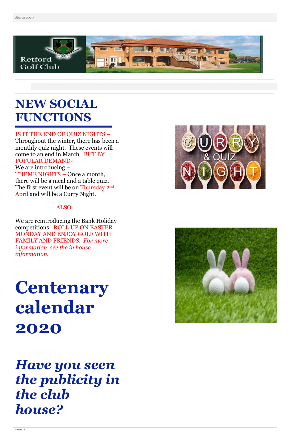

## **NEW SOCIAL FUNCTIONS**

#### IS IT THE END OF QUIZ NIGHTS –

Throughout the winter, there has been a monthly quiz night. These events will come to an end in March. BUT BY POPULAR DEMAND-We are introducing – THEME NIGHTS – Once a month, there will be a meal and a table quiz. The first event will be on Thursday 2nd April and will be a Curry Night.

#### ALSO

We are reintroducing the Bank Holiday competitions. ROLL UP ON EASTER MONDAY AND ENJOY GOLF WITH FAMILY AND FRIENDS. *For more information, see the in house information.*

# **Centenary calendar 2020**







## *Have you seen the publicity in the club house?*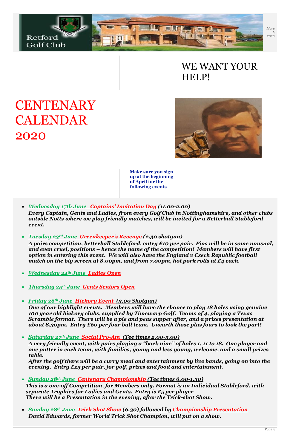

### WE WANT YOUR HELP!





**Make sure you sign up at the beginning of April for the following events**

- *Wednesday 17th June Captains' Invitation Day (11.00-2.00) Every Captain, Gents and Ladies, from every Golf Club in Nottinghamshire, and other clubs outside Notts where we play friendly matches, will be invited for a Betterball Stableford event.*
- *Tuesday 23rd June Greenkeeper's Revenge (2.30 shotgun)*

*A pairs competition, betterball Stableford, entry £10 per pair. Pins will be in some unusual, and even cruel, positions – hence the name of the competition! Members will have first option in entering this event. We will also have the England v Czech Republic football match on the big screen at 8.00pm, and from 7.00pm, hot pork rolls at £4 each.*

- *Wednesday 24th June Ladies Open*
- *Thursday 25th June Gents Seniors Open*
- *Friday 26th June Hickory Event (3.00 Shotgun)*

*One of our highlight events. Members will have the chance to play 18 holes using genuine 100 year old hickory clubs, supplied by Timewarp Golf. Teams of 4, playing a Texas Scramble format. There will be a pie and peas supper after, and a prizes presentation at about 8.30pm. Entry £60 per four ball team. Unearth those plus fours to look the part!*

• *Saturday 27th June Social Pro-Am (Tee times 2.00-5.00)*

*A very friendly event, with pairs playing a "back nine" of holes 1, 11 to 18. One player and one putter in each team, with families, young and less young, welcome, and a small prizes table.*

*After the golf there will be a curry meal and entertainment by live bands, going on into the evening. Entry £25 per pair, for golf, prizes and food and entertainment.*

- *Sunday 28th June Centenary Championship (Tee times 6.00-1.30) This is a one-off Competition, for Members only. Format is an Individual Stableford, with separate Trophies for Ladies and Gents. Entry is £5 per player There will be a Presentation in the evening, after the Trick-shot Show.*
- *Sunday 28th June Trick Shot Show (6.30) followed by Championship Presentation David Edwards, former World Trick Shot Champion, will put on a show.*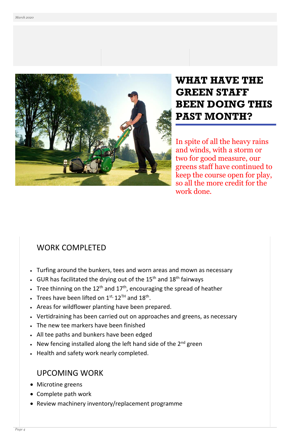

#### WORK COMPLETED

- Turfing around the bunkers, tees and worn areas and mown as necessary
- GUR has facilitated the drying out of the  $15<sup>th</sup>$  and  $18<sup>th</sup>$  fairways
- Tree thinning on the  $12<sup>th</sup>$  and  $17<sup>th</sup>$ , encouraging the spread of heather
- Trees have been lifted on  $1^{\text{st}}$ ,  $12^{\text{TH}}$  and  $18^{\text{th}}$ .
- Areas for wildflower planting have been prepared.
- Vertidraining has been carried out on approaches and greens, as necessary
- The new tee markers have been finished
- All tee paths and bunkers have been edged
- New fencing installed along the left hand side of the 2<sup>nd</sup> green
- Health and safety work nearly completed.

#### UPCOMING WORK

- Microtine greens
- Complete path work
- Review machinery inventory/replacement programme

## **WHAT HAVE THE GREEN STAFF BEEN DOING THIS PAST MONTH?**

In spite of all the heavy rains and winds, with a storm or two for good measure, our greens staff have continued to keep the course open for play, so all the more credit for the work done.